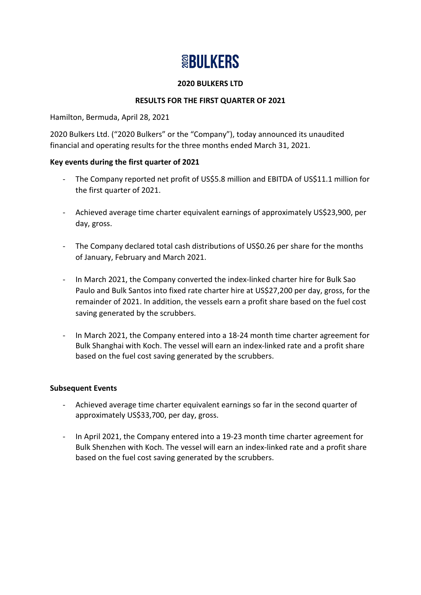# **SBULKERS**

## **2020 BULKERS LTD**

# **RESULTS FOR THE FIRST QUARTER OF 2021**

Hamilton, Bermuda, April 28, 2021

2020 Bulkers Ltd. ("2020 Bulkers" or the "Company"), today announced its unaudited financial and operating results for the three months ended March 31, 2021.

# **Key events during the first quarter of 2021**

- The Company reported net profit of US\$5.8 million and EBITDA of US\$11.1 million for the first quarter of 2021.
- Achieved average time charter equivalent earnings of approximately US\$23,900, per day, gross.
- The Company declared total cash distributions of US\$0.26 per share for the months of January, February and March 2021.
- In March 2021, the Company converted the index-linked charter hire for Bulk Sao Paulo and Bulk Santos into fixed rate charter hire at US\$27,200 per day, gross, for the remainder of 2021. In addition, the vessels earn a profit share based on the fuel cost saving generated by the scrubbers.
- In March 2021, the Company entered into a 18-24 month time charter agreement for Bulk Shanghai with Koch. The vessel will earn an index-linked rate and a profit share based on the fuel cost saving generated by the scrubbers.

#### **Subsequent Events**

- Achieved average time charter equivalent earnings so far in the second quarter of approximately US\$33,700, per day, gross.
- In April 2021, the Company entered into a 19-23 month time charter agreement for Bulk Shenzhen with Koch. The vessel will earn an index-linked rate and a profit share based on the fuel cost saving generated by the scrubbers.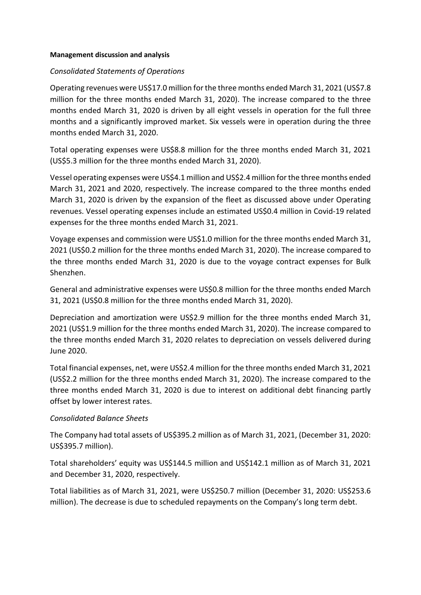#### **Management discussion and analysis**

#### *Consolidated Statements of Operations*

Operating revenues were US\$17.0 million for the three months ended March 31, 2021 (US\$7.8 million for the three months ended March 31, 2020). The increase compared to the three months ended March 31, 2020 is driven by all eight vessels in operation for the full three months and a significantly improved market. Six vessels were in operation during the three months ended March 31, 2020.

Total operating expenses were US\$8.8 million for the three months ended March 31, 2021 (US\$5.3 million for the three months ended March 31, 2020).

Vessel operating expenses were US\$4.1 million and US\$2.4 million for the three months ended March 31, 2021 and 2020, respectively. The increase compared to the three months ended March 31, 2020 is driven by the expansion of the fleet as discussed above under Operating revenues. Vessel operating expenses include an estimated US\$0.4 million in Covid-19 related expenses for the three months ended March 31, 2021.

Voyage expenses and commission were US\$1.0 million for the three months ended March 31, 2021 (US\$0.2 million for the three months ended March 31, 2020). The increase compared to the three months ended March 31, 2020 is due to the voyage contract expenses for Bulk Shenzhen.

General and administrative expenses were US\$0.8 million for the three months ended March 31, 2021 (US\$0.8 million for the three months ended March 31, 2020).

Depreciation and amortization were US\$2.9 million for the three months ended March 31, 2021 (US\$1.9 million for the three months ended March 31, 2020). The increase compared to the three months ended March 31, 2020 relates to depreciation on vessels delivered during June 2020.

Total financial expenses, net, were US\$2.4 million for the three months ended March 31, 2021 (US\$2.2 million for the three months ended March 31, 2020). The increase compared to the three months ended March 31, 2020 is due to interest on additional debt financing partly offset by lower interest rates.

#### *Consolidated Balance Sheets*

The Company had total assets of US\$395.2 million as of March 31, 2021, (December 31, 2020: US\$395.7 million).

Total shareholders' equity was US\$144.5 million and US\$142.1 million as of March 31, 2021 and December 31, 2020, respectively.

Total liabilities as of March 31, 2021, were US\$250.7 million (December 31, 2020: US\$253.6 million). The decrease is due to scheduled repayments on the Company's long term debt.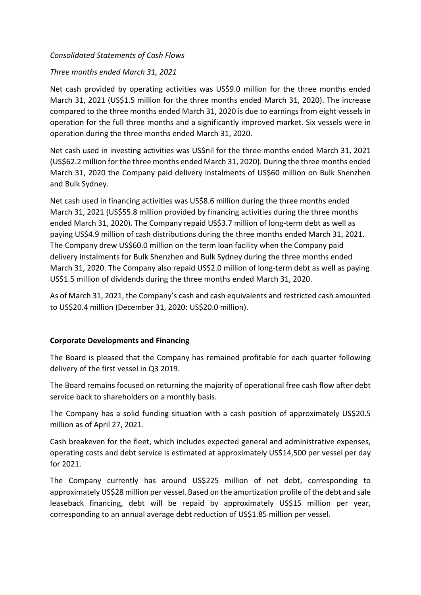## *Consolidated Statements of Cash Flows*

## *Three months ended March 31, 2021*

Net cash provided by operating activities was US\$9.0 million for the three months ended March 31, 2021 (US\$1.5 million for the three months ended March 31, 2020). The increase compared to the three months ended March 31, 2020 is due to earnings from eight vessels in operation for the full three months and a significantly improved market. Six vessels were in operation during the three months ended March 31, 2020.

Net cash used in investing activities was US\$nil for the three months ended March 31, 2021 (US\$62.2 million for the three months ended March 31, 2020). During the three months ended March 31, 2020 the Company paid delivery instalments of US\$60 million on Bulk Shenzhen and Bulk Sydney.

Net cash used in financing activities was US\$8.6 million during the three months ended March 31, 2021 (US\$55.8 million provided by financing activities during the three months ended March 31, 2020). The Company repaid US\$3.7 million of long-term debt as well as paying US\$4.9 million of cash distributions during the three months ended March 31, 2021. The Company drew US\$60.0 million on the term loan facility when the Company paid delivery instalments for Bulk Shenzhen and Bulk Sydney during the three months ended March 31, 2020. The Company also repaid US\$2.0 million of long-term debt as well as paying US\$1.5 million of dividends during the three months ended March 31, 2020.

As of March 31, 2021, the Company's cash and cash equivalents and restricted cash amounted to US\$20.4 million (December 31, 2020: US\$20.0 million).

#### **Corporate Developments and Financing**

The Board is pleased that the Company has remained profitable for each quarter following delivery of the first vessel in Q3 2019.

The Board remains focused on returning the majority of operational free cash flow after debt service back to shareholders on a monthly basis.

The Company has a solid funding situation with a cash position of approximately US\$20.5 million as of April 27, 2021.

Cash breakeven for the fleet, which includes expected general and administrative expenses, operating costs and debt service is estimated at approximately US\$14,500 per vessel per day for 2021.

The Company currently has around US\$225 million of net debt, corresponding to approximately US\$28 million per vessel. Based on the amortization profile of the debt and sale leaseback financing, debt will be repaid by approximately US\$15 million per year, corresponding to an annual average debt reduction of US\$1.85 million per vessel.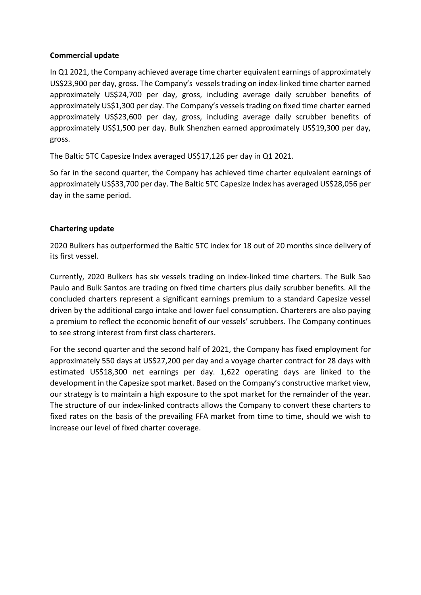#### **Commercial update**

In Q1 2021, the Company achieved average time charter equivalent earnings of approximately US\$23,900 per day, gross. The Company's vessels trading on index-linked time charter earned approximately US\$24,700 per day, gross, including average daily scrubber benefits of approximately US\$1,300 per day. The Company's vessels trading on fixed time charter earned approximately US\$23,600 per day, gross, including average daily scrubber benefits of approximately US\$1,500 per day. Bulk Shenzhen earned approximately US\$19,300 per day, gross.

The Baltic 5TC Capesize Index averaged US\$17,126 per day in Q1 2021.

So far in the second quarter, the Company has achieved time charter equivalent earnings of approximately US\$33,700 per day. The Baltic 5TC Capesize Index has averaged US\$28,056 per day in the same period.

# **Chartering update**

2020 Bulkers has outperformed the Baltic 5TC index for 18 out of 20 months since delivery of its first vessel.

Currently, 2020 Bulkers has six vessels trading on index-linked time charters. The Bulk Sao Paulo and Bulk Santos are trading on fixed time charters plus daily scrubber benefits. All the concluded charters represent a significant earnings premium to a standard Capesize vessel driven by the additional cargo intake and lower fuel consumption. Charterers are also paying a premium to reflect the economic benefit of our vessels' scrubbers. The Company continues to see strong interest from first class charterers.

For the second quarter and the second half of 2021, the Company has fixed employment for approximately 550 days at US\$27,200 per day and a voyage charter contract for 28 days with estimated US\$18,300 net earnings per day. 1,622 operating days are linked to the development in the Capesize spot market. Based on the Company's constructive market view, our strategy is to maintain a high exposure to the spot market for the remainder of the year. The structure of our index-linked contracts allows the Company to convert these charters to fixed rates on the basis of the prevailing FFA market from time to time, should we wish to increase our level of fixed charter coverage.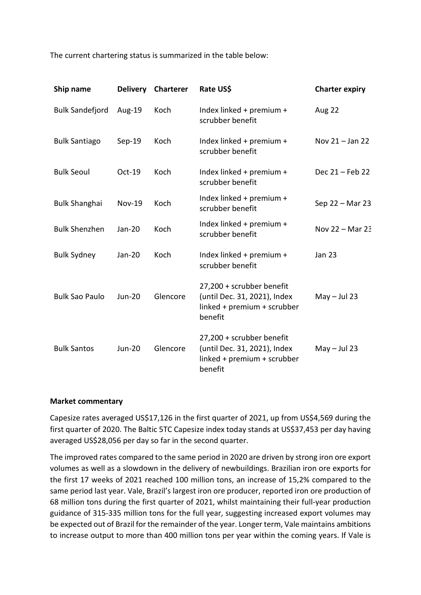The current chartering status is summarized in the table below:

| Ship name              | <b>Delivery</b> | <b>Charterer</b> | Rate US\$                                                                                           | <b>Charter expiry</b> |
|------------------------|-----------------|------------------|-----------------------------------------------------------------------------------------------------|-----------------------|
| <b>Bulk Sandefjord</b> | Aug-19          | Koch             | Index linked + premium +<br>scrubber benefit                                                        | Aug 22                |
| <b>Bulk Santiago</b>   | $Sep-19$        | Koch             | Index linked + premium +<br>scrubber benefit                                                        | Nov $21 -$ Jan 22     |
| <b>Bulk Seoul</b>      | Oct-19          | Koch             | Index linked + premium +<br>scrubber benefit                                                        | Dec 21 – Feb 22       |
| <b>Bulk Shanghai</b>   | <b>Nov-19</b>   | Koch             | Index linked + premium +<br>scrubber benefit                                                        | Sep 22 - Mar 23       |
| <b>Bulk Shenzhen</b>   | Jan-20          | Koch             | Index linked + premium +<br>scrubber benefit                                                        | Nov $22 -$ Mar $23$   |
| <b>Bulk Sydney</b>     | Jan-20          | Koch             | Index linked + premium +<br>scrubber benefit                                                        | <b>Jan 23</b>         |
| <b>Bulk Sao Paulo</b>  | <b>Jun-20</b>   | Glencore         | 27,200 + scrubber benefit<br>(until Dec. 31, 2021), Index<br>linked + premium + scrubber<br>benefit | $May - Jul 23$        |
| <b>Bulk Santos</b>     | <b>Jun-20</b>   | Glencore         | 27,200 + scrubber benefit<br>(until Dec. 31, 2021), Index<br>linked + premium + scrubber<br>benefit | $May - Jul 23$        |

#### **Market commentary**

Capesize rates averaged US\$17,126 in the first quarter of 2021, up from US\$4,569 during the first quarter of 2020. The Baltic 5TC Capesize index today stands at US\$37,453 per day having averaged US\$28,056 per day so far in the second quarter.

The improved rates compared to the same period in 2020 are driven by strong iron ore export volumes as well as a slowdown in the delivery of newbuildings. Brazilian iron ore exports for the first 17 weeks of 2021 reached 100 million tons, an increase of 15,2% compared to the same period last year. Vale, Brazil's largest iron ore producer, reported iron ore production of 68 million tons during the first quarter of 2021, whilst maintaining their full-year production guidance of 315-335 million tons for the full year, suggesting increased export volumes may be expected out of Brazil for the remainder of the year. Longer term, Vale maintains ambitions to increase output to more than 400 million tons per year within the coming years. If Vale is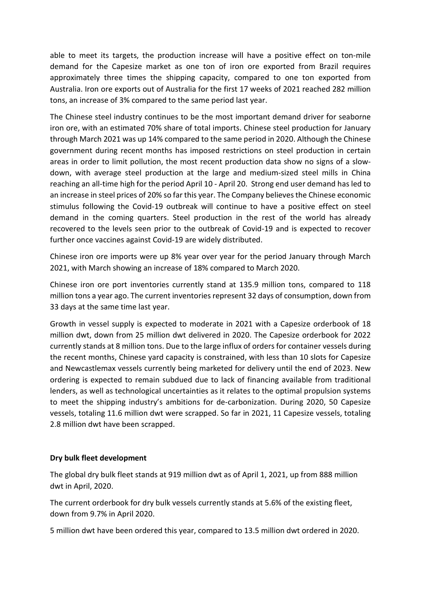able to meet its targets, the production increase will have a positive effect on ton-mile demand for the Capesize market as one ton of iron ore exported from Brazil requires approximately three times the shipping capacity, compared to one ton exported from Australia. Iron ore exports out of Australia for the first 17 weeks of 2021 reached 282 million tons, an increase of 3% compared to the same period last year.

The Chinese steel industry continues to be the most important demand driver for seaborne iron ore, with an estimated 70% share of total imports. Chinese steel production for January through March 2021 was up 14% compared to the same period in 2020. Although the Chinese government during recent months has imposed restrictions on steel production in certain areas in order to limit pollution, the most recent production data show no signs of a slowdown, with average steel production at the large and medium-sized steel mills in China reaching an all-time high for the period April 10 - April 20. Strong end user demand has led to an increase in steel prices of 20% so far this year. The Company believes the Chinese economic stimulus following the Covid-19 outbreak will continue to have a positive effect on steel demand in the coming quarters. Steel production in the rest of the world has already recovered to the levels seen prior to the outbreak of Covid-19 and is expected to recover further once vaccines against Covid-19 are widely distributed.

Chinese iron ore imports were up 8% year over year for the period January through March 2021, with March showing an increase of 18% compared to March 2020.

Chinese iron ore port inventories currently stand at 135.9 million tons, compared to 118 million tons a year ago. The current inventories represent 32 days of consumption, down from 33 days at the same time last year.

Growth in vessel supply is expected to moderate in 2021 with a Capesize orderbook of 18 million dwt, down from 25 million dwt delivered in 2020. The Capesize orderbook for 2022 currently stands at 8 million tons. Due to the large influx of orders for container vessels during the recent months, Chinese yard capacity is constrained, with less than 10 slots for Capesize and Newcastlemax vessels currently being marketed for delivery until the end of 2023. New ordering is expected to remain subdued due to lack of financing available from traditional lenders, as well as technological uncertainties as it relates to the optimal propulsion systems to meet the shipping industry's ambitions for de-carbonization. During 2020, 50 Capesize vessels, totaling 11.6 million dwt were scrapped. So far in 2021, 11 Capesize vessels, totaling 2.8 million dwt have been scrapped.

# **Dry bulk fleet development**

The global dry bulk fleet stands at 919 million dwt as of April 1, 2021, up from 888 million dwt in April, 2020.

The current orderbook for dry bulk vessels currently stands at 5.6% of the existing fleet, down from 9.7% in April 2020.

5 million dwt have been ordered this year, compared to 13.5 million dwt ordered in 2020.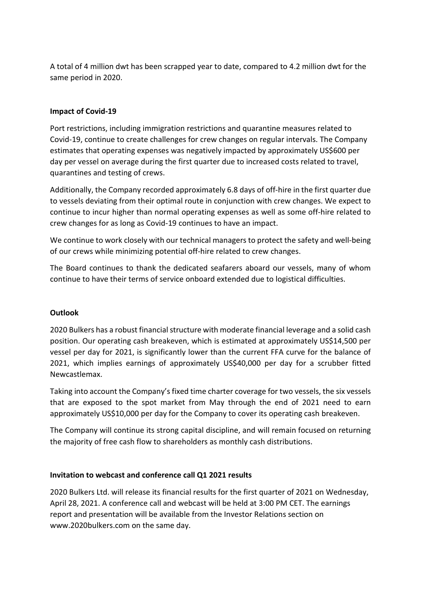A total of 4 million dwt has been scrapped year to date, compared to 4.2 million dwt for the same period in 2020.

# **Impact of Covid-19**

Port restrictions, including immigration restrictions and quarantine measures related to Covid-19, continue to create challenges for crew changes on regular intervals. The Company estimates that operating expenses was negatively impacted by approximately US\$600 per day per vessel on average during the first quarter due to increased costs related to travel, quarantines and testing of crews.

Additionally, the Company recorded approximately 6.8 days of off-hire in the first quarter due to vessels deviating from their optimal route in conjunction with crew changes. We expect to continue to incur higher than normal operating expenses as well as some off-hire related to crew changes for as long as Covid-19 continues to have an impact.

We continue to work closely with our technical managers to protect the safety and well-being of our crews while minimizing potential off-hire related to crew changes.

The Board continues to thank the dedicated seafarers aboard our vessels, many of whom continue to have their terms of service onboard extended due to logistical difficulties.

# **Outlook**

2020 Bulkers has a robust financial structure with moderate financial leverage and a solid cash position. Our operating cash breakeven, which is estimated at approximately US\$14,500 per vessel per day for 2021, is significantly lower than the current FFA curve for the balance of 2021, which implies earnings of approximately US\$40,000 per day for a scrubber fitted Newcastlemax.

Taking into account the Company's fixed time charter coverage for two vessels, the six vessels that are exposed to the spot market from May through the end of 2021 need to earn approximately US\$10,000 per day for the Company to cover its operating cash breakeven.

The Company will continue its strong capital discipline, and will remain focused on returning the majority of free cash flow to shareholders as monthly cash distributions.

# **Invitation to webcast and conference call Q1 2021 results**

2020 Bulkers Ltd. will release its financial results for the first quarter of 2021 on Wednesday, April 28, 2021. A conference call and webcast will be held at 3:00 PM CET. The earnings report and presentation will be available from the Investor Relations section on www.2020bulkers.com on the same day.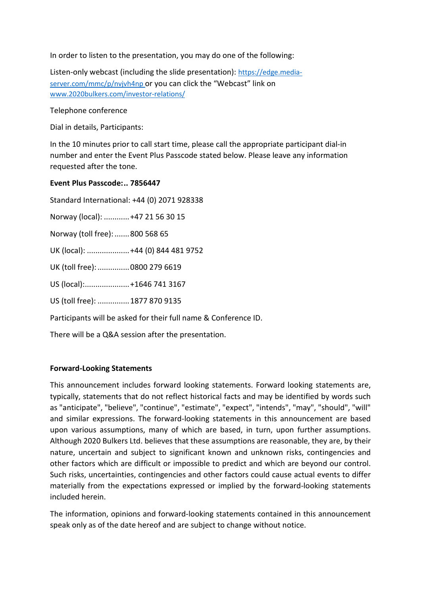In order to listen to the presentation, you may do one of the following:

Listen-only webcast (including the slide presentation): [https://edge.media](https://edge.media-server.com/mmc/p/nvjvh4np)[server.com/mmc/p/nvjvh4np](https://edge.media-server.com/mmc/p/nvjvh4np) or you can click the "Webcast" link on [www.2020bulkers.com/investor-relations/](http://www.2020bulkers.com/investor-relations/)

#### Telephone conference

Dial in details, Participants:

In the 10 minutes prior to call start time, please call the appropriate participant dial-in number and enter the Event Plus Passcode stated below. Please leave any information requested after the tone.

## **Event Plus Passcode:.. 7856447**

Standard International: +44 (0) 2071 928338 Norway (local): ............+47 21 56 30 15 Norway (toll free):.......800 568 65 UK (local): ....................+44 (0) 844 481 9752 UK (toll free): ................0800 279 6619 US (local):.....................+1646 741 3167 US (toll free): ...............1877 870 9135

Participants will be asked for their full name & Conference ID.

There will be a Q&A session after the presentation.

# **Forward-Looking Statements**

This announcement includes forward looking statements. Forward looking statements are, typically, statements that do not reflect historical facts and may be identified by words such as "anticipate", "believe", "continue", "estimate", "expect", "intends", "may", "should", "will" and similar expressions. The forward-looking statements in this announcement are based upon various assumptions, many of which are based, in turn, upon further assumptions. Although 2020 Bulkers Ltd. believes that these assumptions are reasonable, they are, by their nature, uncertain and subject to significant known and unknown risks, contingencies and other factors which are difficult or impossible to predict and which are beyond our control. Such risks, uncertainties, contingencies and other factors could cause actual events to differ materially from the expectations expressed or implied by the forward-looking statements included herein.

The information, opinions and forward-looking statements contained in this announcement speak only as of the date hereof and are subject to change without notice.